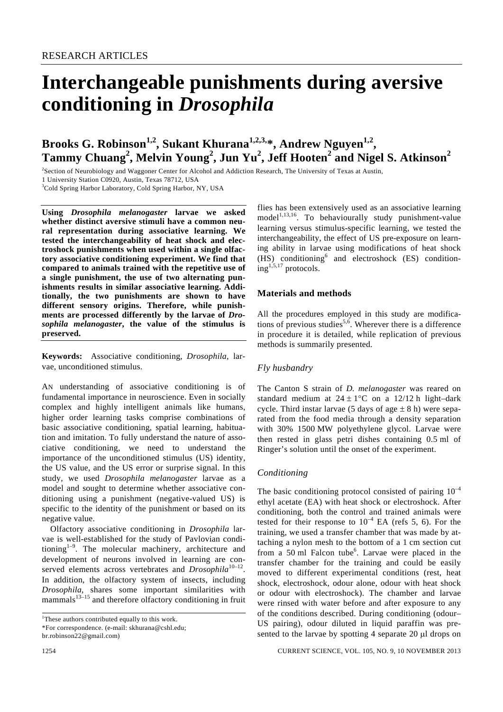# **Interchangeable punishments during aversive conditioning in** *Drosophila*

# Brooks G. Robinson<sup>1,2</sup>, Sukant Khurana<sup>1,2,3,</sup>\*, Andrew Nguyen<sup>1,2</sup>, **Tammy Chuang<sup>2</sup> , Melvin Young<sup>2</sup> , Jun Yu<sup>2</sup> , Jeff Hooten<sup>2</sup> and Nigel S. Atkinson<sup>2</sup>**

2 Section of Neurobiology and Waggoner Center for Alcohol and Addiction Research, The University of Texas at Austin, 1 University Station C0920, Austin, Texas 78712, USA

<sup>3</sup>Cold Spring Harbor Laboratory, Cold Spring Harbor, NY, USA

**Using** *Drosophila melanogaster* **larvae we asked whether distinct aversive stimuli have a common neural representation during associative learning. We tested the interchangeability of heat shock and electroshock punishments when used within a single olfactory associative conditioning experiment. We find that compared to animals trained with the repetitive use of a single punishment, the use of two alternating punishments results in similar associative learning. Additionally, the two punishments are shown to have different sensory origins. Therefore, while punishments are processed differently by the larvae of** *Drosophila melanogaster***, the value of the stimulus is preserved.** 

**Keywords:** Associative conditioning, *Drosophila*, larvae, unconditioned stimulus.

AN understanding of associative conditioning is of fundamental importance in neuroscience. Even in socially complex and highly intelligent animals like humans, higher order learning tasks comprise combinations of basic associative conditioning, spatial learning, habituation and imitation. To fully understand the nature of associative conditioning, we need to understand the importance of the unconditioned stimulus (US) identity, the US value, and the US error or surprise signal. In this study, we used *Drosophila melanogaster* larvae as a model and sought to determine whether associative conditioning using a punishment (negative-valued US) is specific to the identity of the punishment or based on its negative value.

 Olfactory associative conditioning in *Drosophila* larvae is well-established for the study of Pavlovian conditioning<sup>1-9</sup>. The molecular machinery, architecture and development of neurons involved in learning are conserved elements across vertebrates and *Drosophila*<sup>10-12</sup>. In addition, the olfactory system of insects, including *Drosophila*, shares some important similarities with mammals $13-15$  and therefore olfactory conditioning in fruit

\*For correspondence. (e-mail: skhurana@cshl.edu;

flies has been extensively used as an associative learning  $model<sup>1,13,16</sup>$ . To behaviourally study punishment-value learning versus stimulus-specific learning, we tested the interchangeability, the effect of US pre-exposure on learning ability in larvae using modifications of heat shock (HS) conditioning<sup>6</sup> and electroshock (ES) condition $ing$ <sup>1,5,17</sup> protocols.

#### **Materials and methods**

All the procedures employed in this study are modifications of previous studies<sup>5,6</sup>. Wherever there is a difference in procedure it is detailed, while replication of previous methods is summarily presented.

#### *Fly husbandry*

The Canton S strain of *D. melanogaster* was reared on standard medium at  $24 \pm 1$ °C on a 12/12 h light–dark cycle. Third instar larvae (5 days of age  $\pm$  8 h) were separated from the food media through a density separation with 30% 1500 MW polyethylene glycol. Larvae were then rested in glass petri dishes containing 0.5 ml of Ringer's solution until the onset of the experiment.

#### *Conditioning*

The basic conditioning protocol consisted of pairing  $10^{-4}$ ethyl acetate (EA) with heat shock or electroshock. After conditioning, both the control and trained animals were tested for their response to  $10^{-4}$  EA (refs 5, 6). For the training, we used a transfer chamber that was made by attaching a nylon mesh to the bottom of a 1 cm section cut from a 50 ml Falcon tube<sup>6</sup>. Larvae were placed in the transfer chamber for the training and could be easily moved to different experimental conditions (rest, heat shock, electroshock, odour alone, odour with heat shock or odour with electroshock). The chamber and larvae were rinsed with water before and after exposure to any of the conditions described. During conditioning (odour– US pairing), odour diluted in liquid paraffin was presented to the larvae by spotting 4 separate 20 μl drops on

<sup>&</sup>lt;sup>1</sup>These authors contributed equally to this work.

br.robinson22@gmail.com)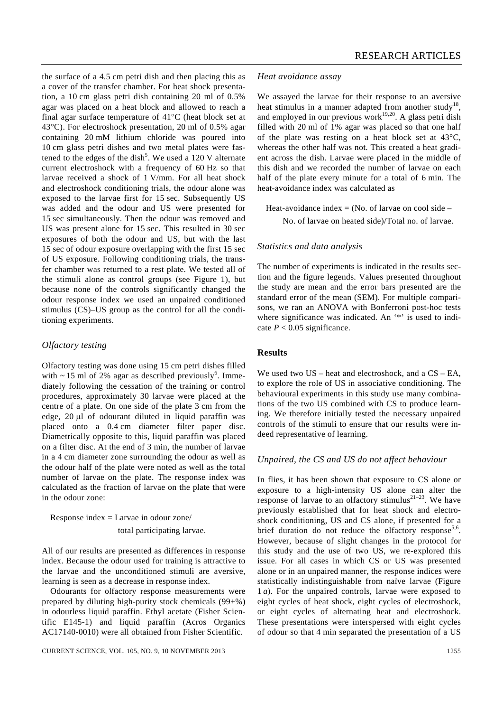the surface of a 4.5 cm petri dish and then placing this as a cover of the transfer chamber. For heat shock presentation, a 10 cm glass petri dish containing 20 ml of 0.5% agar was placed on a heat block and allowed to reach a final agar surface temperature of 41°C (heat block set at 43°C). For electroshock presentation, 20 ml of 0.5% agar containing 20 mM lithium chloride was poured into 10 cm glass petri dishes and two metal plates were fastened to the edges of the dish<sup>5</sup>. We used a 120 V alternate current electroshock with a frequency of 60 Hz so that larvae received a shock of 1 V/mm. For all heat shock and electroshock conditioning trials, the odour alone was exposed to the larvae first for 15 sec. Subsequently US was added and the odour and US were presented for 15 sec simultaneously. Then the odour was removed and US was present alone for 15 sec. This resulted in 30 sec exposures of both the odour and US, but with the last 15 sec of odour exposure overlapping with the first 15 sec of US exposure. Following conditioning trials, the transfer chamber was returned to a rest plate. We tested all of the stimuli alone as control groups (see Figure 1), but because none of the controls significantly changed the odour response index we used an unpaired conditioned stimulus (CS)–US group as the control for all the conditioning experiments.

# *Olfactory testing*

Olfactory testing was done using 15 cm petri dishes filled with  $\sim$  15 ml of 2% agar as described previously<sup>6</sup>. Immediately following the cessation of the training or control procedures, approximately 30 larvae were placed at the centre of a plate. On one side of the plate 3 cm from the edge, 20 μl of odourant diluted in liquid paraffin was placed onto a 0.4 cm diameter filter paper disc. Diametrically opposite to this, liquid paraffin was placed on a filter disc. At the end of 3 min, the number of larvae in a 4 cm diameter zone surrounding the odour as well as the odour half of the plate were noted as well as the total number of larvae on the plate. The response index was calculated as the fraction of larvae on the plate that were in the odour zone:

 Response index = Larvae in odour zone/ total participating larvae.

All of our results are presented as differences in response index. Because the odour used for training is attractive to the larvae and the unconditioned stimuli are aversive, learning is seen as a decrease in response index.

 Odourants for olfactory response measurements were prepared by diluting high-purity stock chemicals (99+%) in odourless liquid paraffin. Ethyl acetate (Fisher Scientific E145-1) and liquid paraffin (Acros Organics AC17140-0010) were all obtained from Fisher Scientific.

#### *Heat avoidance assay*

We assayed the larvae for their response to an aversive heat stimulus in a manner adapted from another study<sup>18</sup>, and employed in our previous work $19,20$ . A glass petri dish filled with 20 ml of 1% agar was placed so that one half of the plate was resting on a heat block set at 43°C, whereas the other half was not. This created a heat gradient across the dish. Larvae were placed in the middle of this dish and we recorded the number of larvae on each half of the plate every minute for a total of 6 min. The heat-avoidance index was calculated as

Heat-avoidance index  $=$  (No. of larvae on cool side  $-$ No. of larvae on heated side)/Total no. of larvae.

## *Statistics and data analysis*

The number of experiments is indicated in the results section and the figure legends. Values presented throughout the study are mean and the error bars presented are the standard error of the mean (SEM). For multiple comparisons, we ran an ANOVA with Bonferroni post-hoc tests where significance was indicated. An '\*' is used to indicate  $P < 0.05$  significance.

#### **Results**

We used two US – heat and electroshock, and a CS – EA, to explore the role of US in associative conditioning. The behavioural experiments in this study use many combinations of the two US combined with CS to produce learning. We therefore initially tested the necessary unpaired controls of the stimuli to ensure that our results were indeed representative of learning.

#### *Unpaired, the CS and US do not affect behaviour*

In flies, it has been shown that exposure to CS alone or exposure to a high-intensity US alone can alter the response of larvae to an olfactory stimulus<sup>21–23</sup>. We have previously established that for heat shock and electroshock conditioning, US and CS alone, if presented for a brief duration do not reduce the olfactory response<sup>5,6</sup>. However, because of slight changes in the protocol for this study and the use of two US, we re-explored this issue. For all cases in which CS or US was presented alone or in an unpaired manner, the response indices were statistically indistinguishable from naïve larvae (Figure 1 *a*). For the unpaired controls, larvae were exposed to eight cycles of heat shock, eight cycles of electroshock, or eight cycles of alternating heat and electroshock. These presentations were interspersed with eight cycles of odour so that 4 min separated the presentation of a US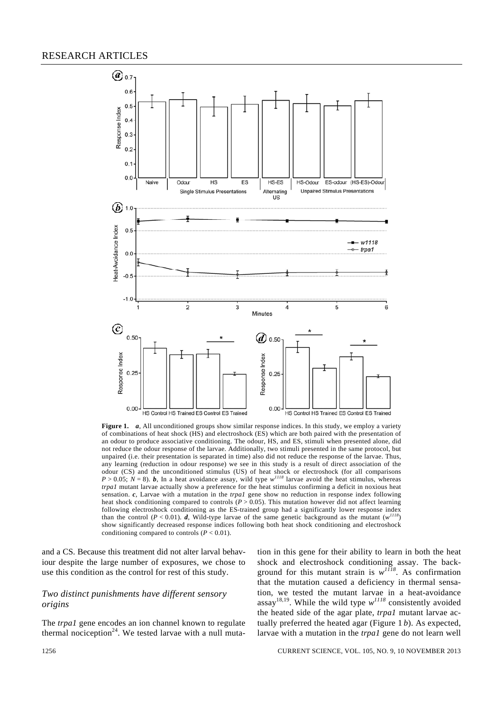

**Figure 1.** *a*, All unconditioned groups show similar response indices. In this study, we employ a variety of combinations of heat shock (HS) and electroshock (ES) which are both paired with the presentation of an odour to produce associative conditioning. The odour, HS, and ES, stimuli when presented alone, did not reduce the odour response of the larvae. Additionally, two stimuli presented in the same protocol, but unpaired (i.e. their presentation is separated in time) also did not reduce the response of the larvae. Thus, any learning (reduction in odour response) we see in this study is a result of direct association of the odour (CS) and the unconditioned stimulus (US) of heat shock or electroshock (for all comparisons  $P > 0.05$ ;  $N = 8$ ). **b**, In a heat avoidance assay, wild type  $w^{11/8}$  larvae avoid the heat stimulus, whereas *trpa1* mutant larvae actually show a preference for the heat stimulus confirming a deficit in noxious heat sensation. *c*, Larvae with a mutation in the *trpa1* gene show no reduction in response index following heat shock conditioning compared to controls (*P* > 0.05). This mutation however did not affect learning following electroshock conditioning as the ES-trained group had a significantly lower response index than the control ( $P < 0.01$ ). *d*, Wild-type larvae of the same genetic background as the mutant ( $w<sup>1</sup>$ show significantly decreased response indices following both heat shock conditioning and electroshock conditioning compared to controls  $(P < 0.01)$ .

and a CS. Because this treatment did not alter larval behaviour despite the large number of exposures, we chose to use this condition as the control for rest of this study.

# *Two distinct punishments have different sensory origins*

The *trpa1* gene encodes an ion channel known to regulate thermal nociception<sup>24</sup>. We tested larvae with a null mutation in this gene for their ability to learn in both the heat shock and electroshock conditioning assay. The background for this mutant strain is *w<sup>1118</sup>*. As confirmation that the mutation caused a deficiency in thermal sensation, we tested the mutant larvae in a heat-avoidance assay<sup>18,19</sup>. While the wild type  $w^{1118}$  consistently avoided the heated side of the agar plate, *trpa1* mutant larvae actually preferred the heated agar (Figure 1 *b*). As expected, larvae with a mutation in the *trpa1* gene do not learn well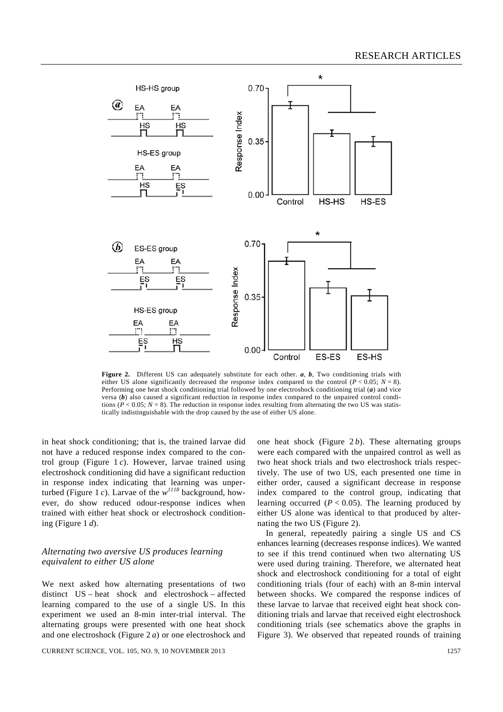

Figure 2. Different US can adequately substitute for each other. *a*, *b*, Two conditioning trials with either US alone significantly decreased the response index compared to the control  $(P < 0.05; N = 8)$ . Performing one heat shock conditioning trial followed by one electroshock conditioning trial (*a*) and vice versa (*b*) also caused a significant reduction in response index compared to the unpaired control conditions ( $P < 0.05$ ;  $N = 8$ ). The reduction in response index resulting from alternating the two US was statistically indistinguishable with the drop caused by the use of either US alone.

in heat shock conditioning; that is, the trained larvae did not have a reduced response index compared to the control group (Figure 1 *c*). However, larvae trained using electroshock conditioning did have a significant reduction in response index indicating that learning was unperturbed (Figure 1 *c*). Larvae of the *w<sup>1118</sup>* background, however, do show reduced odour-response indices when trained with either heat shock or electroshock conditioning (Figure 1 *d*).

## *Alternating two aversive US produces learning equivalent to either US alone*

We next asked how alternating presentations of two distinct US – heat shock and electroshock – affected learning compared to the use of a single US. In this experiment we used an 8-min inter-trial interval. The alternating groups were presented with one heat shock and one electroshock (Figure 2 *a*) or one electroshock and

CURRENT SCIENCE, VOL. 105, NO. 9, 10 NOVEMBER 2013 1257

one heat shock (Figure  $2b$ ). These alternating groups were each compared with the unpaired control as well as two heat shock trials and two electroshock trials respectively. The use of two US, each presented one time in either order, caused a significant decrease in response index compared to the control group, indicating that learning occurred  $(P < 0.05)$ . The learning produced by either US alone was identical to that produced by alternating the two US (Figure 2).

 In general, repeatedly pairing a single US and CS enhances learning (decreases response indices). We wanted to see if this trend continued when two alternating US were used during training. Therefore, we alternated heat shock and electroshock conditioning for a total of eight conditioning trials (four of each) with an 8-min interval between shocks. We compared the response indices of these larvae to larvae that received eight heat shock conditioning trials and larvae that received eight electroshock conditioning trials (see schematics above the graphs in Figure 3). We observed that repeated rounds of training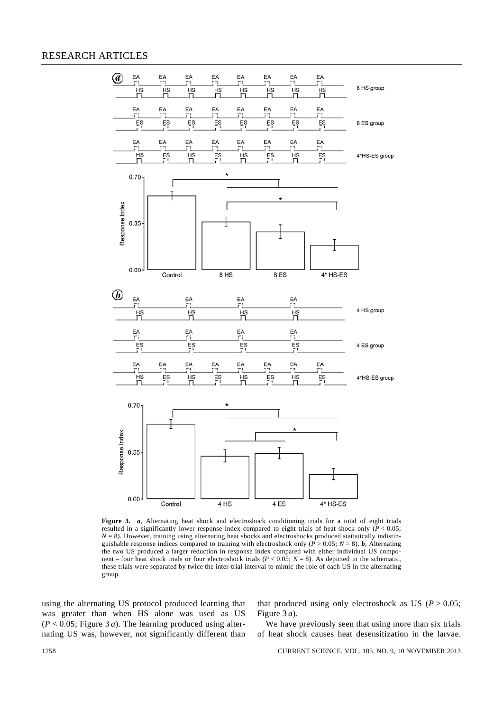# RESEARCH ARTICLES



**Figure 3.** *a*, Alternating heat shock and electroshock conditioning trials for a total of eight trials resulted in a significantly lower response index compared to eight trials of heat shock only (*P* < 0.05;  $N = 8$ ). However, training using alternating heat shocks and electroshocks produced statistically indistinguishable response indices compared to training with electroshock only ( $\vec{P}$  > 0.05; *N* = 8). *b*, Alternating the two US produced a larger reduction in response index compared with either individual US component – four heat shock trials or four electroshock trials (*P* < 0.05; *N* = 8). As depicted in the schematic, these trials were separated by twice the inter-trial interval to mimic the role of each US in the alternating group.

using the alternating US protocol produced learning that was greater than when HS alone was used as US  $(P < 0.05$ ; Figure 3 *a*). The learning produced using alternating US was, however, not significantly different than that produced using only electroshock as US ( $P > 0.05$ ; Figure 3 *a*).

We have previously seen that using more than six trials of heat shock causes heat desensitization in the larvae.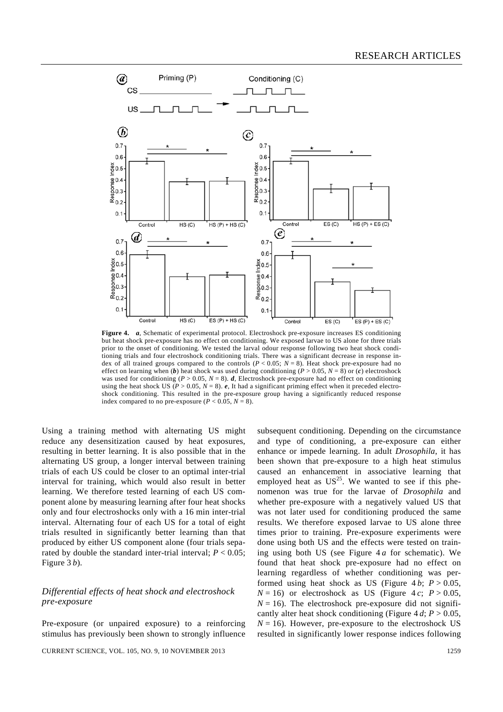

**Figure 4.** *a*, Schematic of experimental protocol. Electroshock pre-exposure increases ES conditioning but heat shock pre-exposure has no effect on conditioning. We exposed larvae to US alone for three trials prior to the onset of conditioning. We tested the larval odour response following two heat shock conditioning trials and four electroshock conditioning trials. There was a significant decrease in response index of all trained groups compared to the controls  $(P < 0.05; N = 8)$ . Heat shock pre-exposure had no effect on learning when  $(b)$  heat shock was used during conditioning  $(P > 0.05, N = 8)$  or  $(c)$  electroshock was used for conditioning ( $P > 0.05$ ,  $N = 8$ ). *d*, Electroshock pre-exposure had no effect on conditioning using the heat shock US ( $P > 0.05$ ,  $N = 8$ ).  $e$ , It had a significant priming effect when it preceded electroshock conditioning. This resulted in the pre-exposure group having a significantly reduced response index compared to no pre-exposure ( $P < 0.05$ ,  $N = 8$ ).

Using a training method with alternating US might reduce any desensitization caused by heat exposures, resulting in better learning. It is also possible that in the alternating US group, a longer interval between training trials of each US could be closer to an optimal inter-trial interval for training, which would also result in better learning. We therefore tested learning of each US component alone by measuring learning after four heat shocks only and four electroshocks only with a 16 min inter-trial interval. Alternating four of each US for a total of eight trials resulted in significantly better learning than that produced by either US component alone (four trials separated by double the standard inter-trial interval;  $P < 0.05$ ; Figure 3 *b*).

# *Differential effects of heat shock and electroshock pre-exposure*

Pre-exposure (or unpaired exposure) to a reinforcing stimulus has previously been shown to strongly influence

CURRENT SCIENCE, VOL. 105, NO. 9, 10 NOVEMBER 2013 1259

subsequent conditioning. Depending on the circumstance and type of conditioning, a pre-exposure can either enhance or impede learning. In adult *Drosophila*, it has been shown that pre-exposure to a high heat stimulus caused an enhancement in associative learning that employed heat as  $US^{25}$ . We wanted to see if this phenomenon was true for the larvae of *Drosophila* and whether pre-exposure with a negatively valued US that was not later used for conditioning produced the same results. We therefore exposed larvae to US alone three times prior to training. Pre-exposure experiments were done using both US and the effects were tested on training using both US (see Figure 4 *a* for schematic). We found that heat shock pre-exposure had no effect on learning regardless of whether conditioning was performed using heat shock as US (Figure  $4 b$ ;  $P > 0.05$ ,  $N = 16$ ) or electroshock as US (Figure 4 *c*;  $P > 0.05$ ,  $N = 16$ ). The electroshock pre-exposure did not significantly alter heat shock conditioning (Figure  $4 d; P > 0.05$ ,  $N = 16$ ). However, pre-exposure to the electroshock US resulted in significantly lower response indices following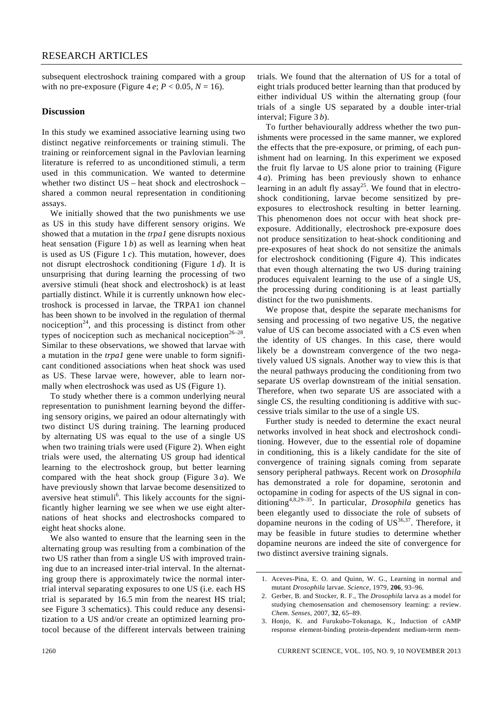subsequent electroshock training compared with a group with no pre-exposure (Figure 4 *e*;  $P < 0.05$ ,  $N = 16$ ).

#### **Discussion**

In this study we examined associative learning using two distinct negative reinforcements or training stimuli. The training or reinforcement signal in the Pavlovian learning literature is referred to as unconditioned stimuli, a term used in this communication. We wanted to determine whether two distinct US – heat shock and electroshock – shared a common neural representation in conditioning assays.

 We initially showed that the two punishments we use as US in this study have different sensory origins. We showed that a mutation in the *trpa1* gene disrupts noxious heat sensation (Figure 1 *b*) as well as learning when heat is used as US (Figure 1 *c*). This mutation, however, does not disrupt electroshock conditioning (Figure 1 *d*). It is unsurprising that during learning the processing of two aversive stimuli (heat shock and electroshock) is at least partially distinct. While it is currently unknown how electroshock is processed in larvae, the TRPA1 ion channel has been shown to be involved in the regulation of thermal nociception<sup>24</sup>, and this processing is distinct from other types of nociception such as mechanical nociception<sup>26–28</sup>. Similar to these observations, we showed that larvae with a mutation in the *trpa1* gene were unable to form significant conditioned associations when heat shock was used as US. These larvae were, however, able to learn normally when electroshock was used as US (Figure 1).

 To study whether there is a common underlying neural representation to punishment learning beyond the differing sensory origins, we paired an odour alternatingly with two distinct US during training. The learning produced by alternating US was equal to the use of a single US when two training trials were used (Figure 2). When eight trials were used, the alternating US group had identical learning to the electroshock group, but better learning compared with the heat shock group (Figure 3 *a*). We have previously shown that larvae become desensitized to aversive heat stimuli<sup>6</sup>. This likely accounts for the significantly higher learning we see when we use eight alternations of heat shocks and electroshocks compared to eight heat shocks alone.

 We also wanted to ensure that the learning seen in the alternating group was resulting from a combination of the two US rather than from a single US with improved training due to an increased inter-trial interval. In the alternating group there is approximately twice the normal intertrial interval separating exposures to one US (i.e. each HS trial is separated by 16.5 min from the nearest HS trial; see Figure 3 schematics). This could reduce any desensitization to a US and/or create an optimized learning protocol because of the different intervals between training trials. We found that the alternation of US for a total of eight trials produced better learning than that produced by either individual US within the alternating group (four trials of a single US separated by a double inter-trial interval; Figure 3 *b*).

 To further behaviourally address whether the two punishments were processed in the same manner, we explored the effects that the pre-exposure, or priming, of each punishment had on learning. In this experiment we exposed the fruit fly larvae to US alone prior to training (Figure 4 *a*). Priming has been previously shown to enhance learning in an adult fly assay<sup>25</sup>. We found that in electroshock conditioning, larvae become sensitized by preexposures to electroshock resulting in better learning. This phenomenon does not occur with heat shock preexposure. Additionally, electroshock pre-exposure does not produce sensitization to heat-shock conditioning and pre-exposures of heat shock do not sensitize the animals for electroshock conditioning (Figure 4). This indicates that even though alternating the two US during training produces equivalent learning to the use of a single US, the processing during conditioning is at least partially distinct for the two punishments.

 We propose that, despite the separate mechanisms for sensing and processing of two negative US, the negative value of US can become associated with a CS even when the identity of US changes. In this case, there would likely be a downstream convergence of the two negatively valued US signals. Another way to view this is that the neural pathways producing the conditioning from two separate US overlap downstream of the initial sensation. Therefore, when two separate US are associated with a single CS, the resulting conditioning is additive with successive trials similar to the use of a single US.

 Further study is needed to determine the exact neural networks involved in heat shock and electroshock conditioning. However, due to the essential role of dopamine in conditioning, this is a likely candidate for the site of convergence of training signals coming from separate sensory peripheral pathways. Recent work on *Drosophila*  has demonstrated a role for dopamine, serotonin and octopamine in coding for aspects of the US signal in conditioning4,8,29–35. In particular, *Drosophila* genetics has been elegantly used to dissociate the role of subsets of dopamine neurons in the coding of  $US^{36,37}$ . Therefore, it may be feasible in future studies to determine whether dopamine neurons are indeed the site of convergence for two distinct aversive training signals.

<sup>1.</sup> Aceves-Pina, E. O. and Quinn, W. G., Learning in normal and mutant *Drosophila* larvae. *Science*, 1979, **206***,* 93–96.

<sup>2.</sup> Gerber, B. and Stocker, R. F., The *Drosophila* larva as a model for studying chemosensation and chemosensory learning: a review. *Chem. Senses*, 2007, **32**, 65–89.

<sup>3.</sup> Honjo, K. and Furukubo-Tokunaga, K., Induction of cAMP response element-binding protein-dependent medium-term mem-